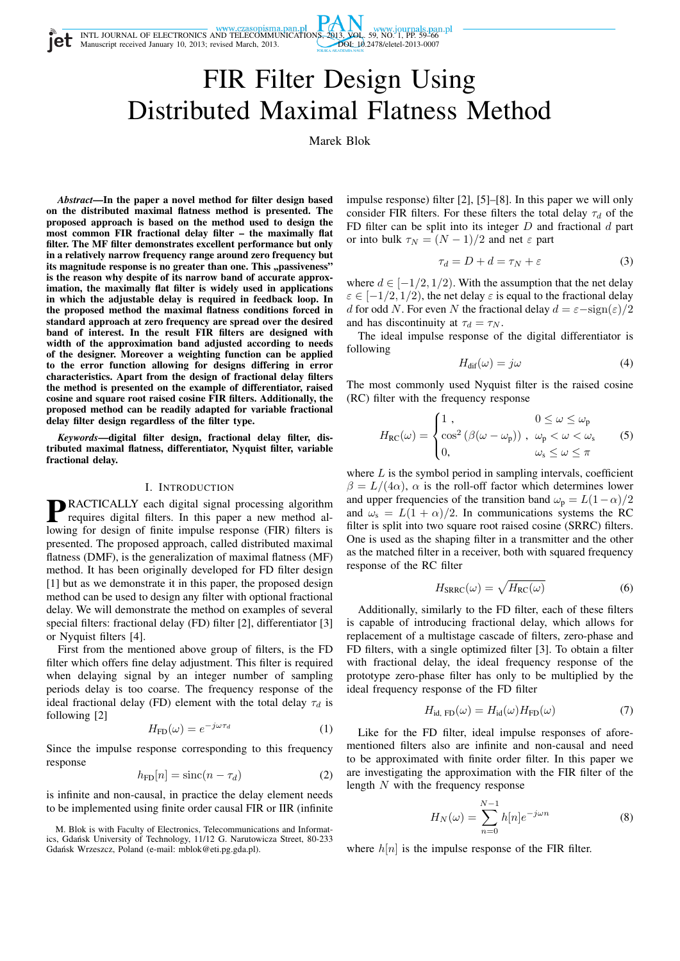# FIR Filter Design Using Distributed Maximal Flatness Method

Marek Blok

*Abstract*—In the paper a novel method for filter design based on the distributed maximal flatness method is presented. The proposed approach is based on the method used to design the most common FIR fractional delay filter – the maximally flat filter. The MF filter demonstrates excellent performance but only in a relatively narrow frequency range around zero frequency but its magnitude response is no greater than one. This ,,passiveness" is the reason why despite of its narrow band of accurate approximation, the maximally flat filter is widely used in applications in which the adjustable delay is required in feedback loop. In the proposed method the maximal flatness conditions forced in standard approach at zero frequency are spread over the desired band of interest. In the result FIR filters are designed with width of the approximation band adjusted according to needs of the designer. Moreover a weighting function can be applied to the error function allowing for designs differing in error characteristics. Apart from the design of fractional delay filters the method is presented on the example of differentiator, raised cosine and square root raised cosine FIR filters. Additionally, the proposed method can be readily adapted for variable fractional delay filter design regardless of the filter type.

*Keywords*—digital filter design, fractional delay filter, distributed maximal flatness, differentiator, Nyquist filter, variable fractional delay.

#### I. INTRODUCTION

**PRACTICALLY** each digital signal processing algorithm<br>requires digital filters. In this paper a new method alrequires digital filters. In this paper a new method allowing for design of finite impulse response (FIR) filters is presented. The proposed approach, called distributed maximal flatness (DMF), is the generalization of maximal flatness (MF) method. It has been originally developed for FD filter design [1] but as we demonstrate it in this paper, the proposed design method can be used to design any filter with optional fractional delay. We will demonstrate the method on examples of several special filters: fractional delay (FD) filter [2], differentiator [3] or Nyquist filters [4].

First from the mentioned above group of filters, is the FD filter which offers fine delay adjustment. This filter is required when delaying signal by an integer number of sampling periods delay is too coarse. The frequency response of the ideal fractional delay (FD) element with the total delay  $\tau_d$  is following [2]

$$
H_{\rm FD}(\omega) = e^{-j\omega\tau_d} \tag{1}
$$

Since the impulse response corresponding to this frequency response

$$
h_{\rm FD}[n] = \text{sinc}(n - \tau_d) \tag{2}
$$

is infinite and non-causal, in practice the delay element needs to be implemented using finite order causal FIR or IIR (infinite impulse response) filter [2], [5]–[8]. In this paper we will only consider FIR filters. For these filters the total delay  $\tau_d$  of the FD filter can be split into its integer  $D$  and fractional  $d$  part or into bulk  $\tau_N = (N-1)/2$  and net  $\varepsilon$  part

$$
\tau_d = D + d = \tau_N + \varepsilon \tag{3}
$$

where  $d \in [-1/2, 1/2)$ . With the assumption that the net delay  $\varepsilon \in [-1/2, 1/2)$ , the net delay  $\varepsilon$  is equal to the fractional delay d for odd N. For even N the fractional delay  $d = \varepsilon - sign(\varepsilon)/2$ and has discontinuity at  $\tau_d = \tau_N$ .

The ideal impulse response of the digital differentiator is following

$$
H_{\rm dif}(\omega) = j\omega \tag{4}
$$

The most commonly used Nyquist filter is the raised cosine (RC) filter with the frequency response

$$
H_{\rm RC}(\omega) = \begin{cases} 1, & 0 \le \omega \le \omega_{\rm p} \\ \cos^2(\beta(\omega - \omega_{\rm p})) , & \omega_{\rm p} < \omega < \omega_{\rm s} \\ 0, & \omega_{\rm s} \le \omega \le \pi \end{cases}
$$
 (5)

where  $L$  is the symbol period in sampling intervals, coefficient  $\beta = L/(4\alpha)$ ,  $\alpha$  is the roll-off factor which determines lower and upper frequencies of the transition band  $\omega_p = L(1-\alpha)/2$ and  $\omega_s = L(1 + \alpha)/2$ . In communications systems the RC filter is split into two square root raised cosine (SRRC) filters. One is used as the shaping filter in a transmitter and the other as the matched filter in a receiver, both with squared frequency response of the RC filter

$$
H_{\text{SRRC}}(\omega) = \sqrt{H_{\text{RC}}(\omega)}\tag{6}
$$

Additionally, similarly to the FD filter, each of these filters is capable of introducing fractional delay, which allows for replacement of a multistage cascade of filters, zero-phase and FD filters, with a single optimized filter [3]. To obtain a filter with fractional delay, the ideal frequency response of the prototype zero-phase filter has only to be multiplied by the ideal frequency response of the FD filter

$$
H_{\rm id, FD}(\omega) = H_{\rm id}(\omega) H_{\rm FD}(\omega) \tag{7}
$$

Like for the FD filter, ideal impulse responses of aforementioned filters also are infinite and non-causal and need to be approximated with finite order filter. In this paper we are investigating the approximation with the FIR filter of the length  $N$  with the frequency response

$$
H_N(\omega) = \sum_{n=0}^{N-1} h[n] e^{-j\omega n}
$$
 (8)

where  $h[n]$  is the impulse response of the FIR filter.

M. Blok is with Faculty of Electronics, Telecommunications and Informatics, Gdańsk University of Technology, 11/12 G. Narutowicza Street, 80-233 Gdańsk Wrzeszcz, Poland (e-mail: mblok@eti.pg.gda.pl).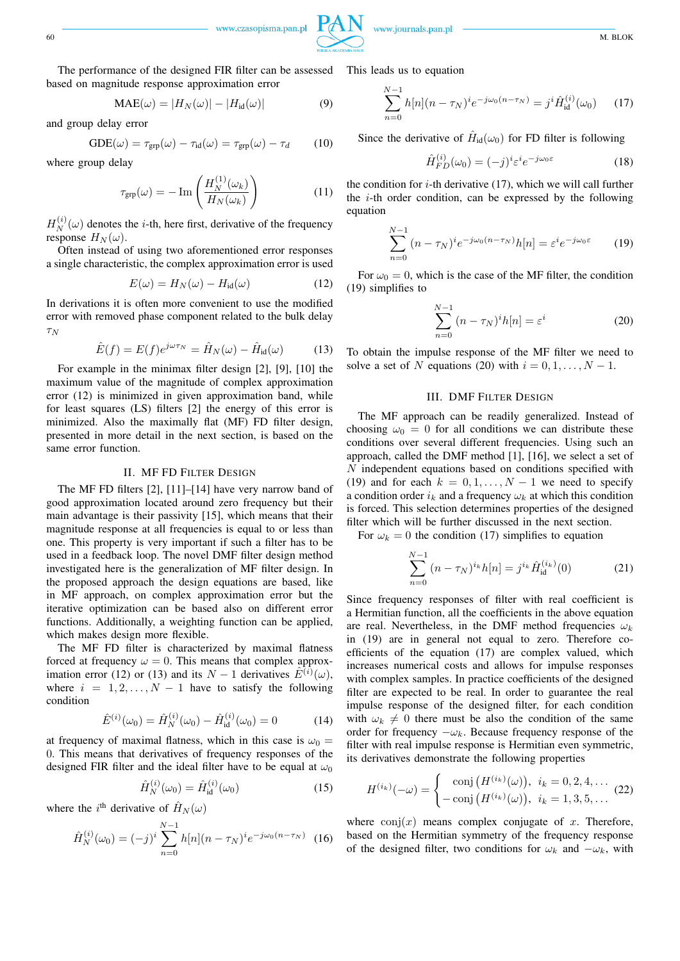

The performance of the designed FIR filter can be assessed This leads us to equation based on magnitude response approximation error

$$
MAE(\omega) = |H_N(\omega)| - |H_{id}(\omega)| \tag{9}
$$

and group delay error

$$
GDE(\omega) = \tau_{\text{grp}}(\omega) - \tau_{\text{id}}(\omega) = \tau_{\text{grp}}(\omega) - \tau_d \tag{10}
$$

where group delay

$$
\tau_{\rm grp}(\omega) = -\operatorname{Im}\left(\frac{H_N^{(1)}(\omega_k)}{H_N(\omega_k)}\right) \tag{11}
$$

 $H_N^{(i)}(\omega)$  denotes the *i*-th, here first, derivative of the frequency response  $H_N(\omega)$ .

Often instead of using two aforementioned error responses a single characteristic, the complex approximation error is used

$$
E(\omega) = H_N(\omega) - H_{\text{id}}(\omega) \tag{12}
$$

In derivations it is often more convenient to use the modified error with removed phase component related to the bulk delay  $\tau_N$ 

$$
\hat{E}(f) = E(f)e^{j\omega \tau_N} = \hat{H}_N(\omega) - \hat{H}_{\text{id}}(\omega)
$$
 (13)

For example in the minimax filter design [2], [9], [10] the maximum value of the magnitude of complex approximation error (12) is minimized in given approximation band, while for least squares (LS) filters [2] the energy of this error is minimized. Also the maximally flat (MF) FD filter design, presented in more detail in the next section, is based on the same error function.

#### II. MF FD FILTER DESIGN

The MF FD filters [2], [11]–[14] have very narrow band of good approximation located around zero frequency but their main advantage is their passivity [15], which means that their magnitude response at all frequencies is equal to or less than one. This property is very important if such a filter has to be used in a feedback loop. The novel DMF filter design method investigated here is the generalization of MF filter design. In the proposed approach the design equations are based, like in MF approach, on complex approximation error but the iterative optimization can be based also on different error functions. Additionally, a weighting function can be applied, which makes design more flexible.

The MF FD filter is characterized by maximal flatness forced at frequency  $\omega = 0$ . This means that complex approximation error (12) or (13) and its  $N-1$  derivatives  $\hat{E}^{(i)}(\omega)$ , where  $i = 1, 2, \ldots, N - 1$  have to satisfy the following condition

$$
\hat{E}^{(i)}(\omega_0) = \hat{H}_N^{(i)}(\omega_0) - \hat{H}_{\rm id}^{(i)}(\omega_0) = 0 \tag{14}
$$

at frequency of maximal flatness, which in this case is  $\omega_0 =$ 0. This means that derivatives of frequency responses of the designed FIR filter and the ideal filter have to be equal at  $\omega_0$ 

$$
\hat{H}_{N}^{(i)}(\omega_0) = \hat{H}_{\rm id}^{(i)}(\omega_0)
$$
\n(15)

where the  $i^{\text{th}}$  derivative of  $\hat{H}_N(\omega)$ 

$$
\hat{H}_N^{(i)}(\omega_0) = (-j)^i \sum_{n=0}^{N-1} h[n](n - \tau_N)^i e^{-j\omega_0(n - \tau_N)}
$$
(16)

$$
\sum_{n=0}^{N-1} h[n](n - \tau_N)^i e^{-j\omega_0(n - \tau_N)} = j^i \hat{H}_{\text{id}}^{(i)}(\omega_0) \qquad (17)
$$

Since the derivative of  $\hat{H}_{\text{id}}(\omega_0)$  for FD filter is following

$$
\hat{H}_{FD}^{(i)}(\omega_0) = (-j)^i \varepsilon^i e^{-j\omega_0 \varepsilon} \tag{18}
$$

the condition for  $i$ -th derivative (17), which we will call further the  $i$ -th order condition, can be expressed by the following equation

$$
\sum_{n=0}^{N-1} (n - \tau_N)^i e^{-j\omega_0 (n - \tau_N)} h[n] = \varepsilon^i e^{-j\omega_0 \varepsilon}
$$
 (19)

For  $\omega_0 = 0$ , which is the case of the MF filter, the condition (19) simplifies to

$$
\sum_{n=0}^{N-1} (n - \tau_N)^i h[n] = \varepsilon^i
$$
 (20)

To obtain the impulse response of the MF filter we need to solve a set of N equations (20) with  $i = 0, 1, \ldots, N - 1$ .

# III. DMF FILTER DESIGN

The MF approach can be readily generalized. Instead of choosing  $\omega_0 = 0$  for all conditions we can distribute these conditions over several different frequencies. Using such an approach, called the DMF method [1], [16], we select a set of  $N$  independent equations based on conditions specified with (19) and for each  $k = 0, 1, \ldots, N - 1$  we need to specify a condition order  $i_k$  and a frequency  $\omega_k$  at which this condition is forced. This selection determines properties of the designed filter which will be further discussed in the next section.

For  $\omega_k = 0$  the condition (17) simplifies to equation

$$
\sum_{n=0}^{N-1} (n - \tau_N)^{i_k} h[n] = j^{i_k} \hat{H}_{\text{id}}^{(i_k)}(0) \tag{21}
$$

Since frequency responses of filter with real coefficient is a Hermitian function, all the coefficients in the above equation are real. Nevertheless, in the DMF method frequencies  $\omega_k$ in (19) are in general not equal to zero. Therefore coefficients of the equation (17) are complex valued, which increases numerical costs and allows for impulse responses with complex samples. In practice coefficients of the designed filter are expected to be real. In order to guarantee the real impulse response of the designed filter, for each condition with  $\omega_k \neq 0$  there must be also the condition of the same order for frequency  $-\omega_k$ . Because frequency response of the filter with real impulse response is Hermitian even symmetric, its derivatives demonstrate the following properties

$$
H^{(i_k)}(-\omega) = \begin{cases} \text{conj}\left(H^{(i_k)}(\omega)\right), & i_k = 0, 2, 4, \dots \\ -\text{conj}\left(H^{(i_k)}(\omega)\right), & i_k = 1, 3, 5, \dots \end{cases} \tag{22}
$$

where  $\text{conj}(x)$  means complex conjugate of x. Therefore, based on the Hermitian symmetry of the frequency response of the designed filter, two conditions for  $\omega_k$  and  $-\omega_k$ , with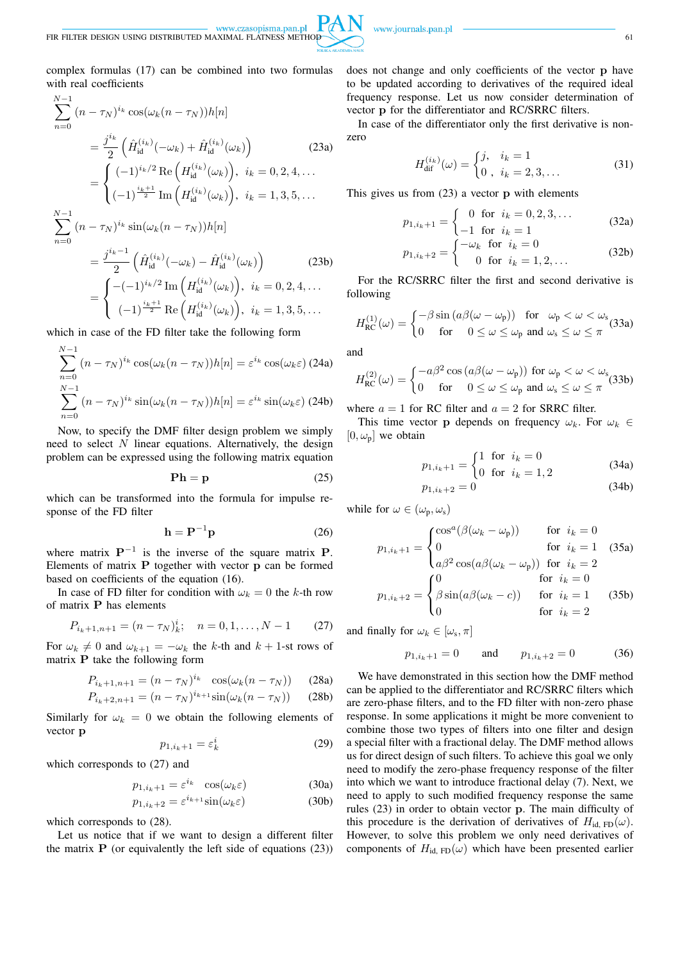www.czasopisma.pan.pl FIR FILTER DESIGN USING DISTRIBUTED MAXIMAL FLATNESS METHOD



www.journals.pan.pl

complex formulas (17) can be combined into two formulas with real coefficients

$$
\sum_{n=0}^{N-1} (n - \tau_N)^{i_k} \cos(\omega_k (n - \tau_N))h[n]
$$
\n
$$
= \frac{j^{i_k}}{2} \left( \hat{H}_{id}^{(i_k)}(-\omega_k) + \hat{H}_{id}^{(i_k)}(\omega_k) \right)
$$
\n
$$
= \begin{cases}\n(-1)^{i_k/2} \operatorname{Re} \left( H_{id}^{(i_k)}(\omega_k) \right), \ i_k = 0, 2, 4, \dots \\
(-1)^{\frac{i_k+1}{2}} \operatorname{Im} \left( H_{id}^{(i_k)}(\omega_k) \right), \ i_k = 1, 3, 5, \dots\n\end{cases}
$$
\n
$$
\sum_{n=0}^{N-1} (n - \tau_N)^{i_k} \sin(\omega_k (n - \tau_N))h[n]
$$
\n
$$
= \frac{j^{i_k-1}}{2} \left( \hat{H}_{id}^{(i_k)}(-\omega_k) - \hat{H}_{id}^{(i_k)}(\omega_k) \right)
$$
\n
$$
= \begin{cases}\n-(-1)^{i_k/2} \operatorname{Im} \left( H_{id}^{(i_k)}(\omega_k) \right), \ i_k = 0, 2, 4, \dots \\
(-1)^{\frac{i_k+1}{2}} \operatorname{Re} \left( H_{id}^{(i_k)}(\omega_k) \right), \ i_k = 1, 3, 5, \dots\n\end{cases}
$$

which in case of the FD filter take the following form

$$
\sum_{n=0}^{N-1} (n - \tau_N)^{i_k} \cos(\omega_k (n - \tau_N)) h[n] = \varepsilon^{i_k} \cos(\omega_k \varepsilon)
$$
 (24a)  

$$
\sum_{n=0}^{N-1} (n - \tau_N)^{i_k} \sin(\omega_k (n - \tau_N)) h[n] = \varepsilon^{i_k} \sin(\omega_k \varepsilon)
$$
 (24b)

Now, to specify the DMF filter design problem we simply need to select  $N$  linear equations. Alternatively, the design problem can be expressed using the following matrix equation

$$
\mathbf{Ph} = \mathbf{p} \tag{25}
$$

which can be transformed into the formula for impulse response of the FD filter

$$
\mathbf{h} = \mathbf{P}^{-1} \mathbf{p} \tag{26}
$$

where matrix  $\mathbf{P}^{-1}$  is the inverse of the square matrix P. Elements of matrix P together with vector p can be formed based on coefficients of the equation (16).

In case of FD filter for condition with  $\omega_k = 0$  the k-th row of matrix P has elements

$$
P_{i_k+1,n+1} = (n - \tau_N)^i_k; \quad n = 0, 1, \dots, N - 1 \tag{27}
$$

For  $\omega_k \neq 0$  and  $\omega_{k+1} = -\omega_k$  the k-th and  $k + 1$ -st rows of matrix P take the following form

$$
P_{i_k+1,n+1} = (n - \tau_N)^{i_k} \cos(\omega_k (n - \tau_N)) \tag{28a}
$$

$$
P_{i_k+2,n+1} = (n - \tau_N)^{i_{k+1}} \sin(\omega_k (n - \tau_N)) \quad (28b)
$$

Similarly for  $\omega_k = 0$  we obtain the following elements of vector p

$$
p_{1,i_k+1} = \varepsilon_k^i \tag{29}
$$

which corresponds to (27) and

$$
p_{1,i_k+1} = \varepsilon^{i_k} \quad \cos(\omega_k \varepsilon) \tag{30a}
$$

$$
p_{1,i_k+2} = \varepsilon^{i_{k+1}} \sin(\omega_k \varepsilon) \tag{30b}
$$

which corresponds to (28).

Let us notice that if we want to design a different filter the matrix  $P$  (or equivalently the left side of equations  $(23)$ ) does not change and only coefficients of the vector p have to be updated according to derivatives of the required ideal frequency response. Let us now consider determination of vector p for the differentiator and RC/SRRC filters.

In case of the differentiator only the first derivative is nonzero

$$
H_{\text{dif}}^{(i_k)}(\omega) = \begin{cases} j, & i_k = 1 \\ 0, & i_k = 2, 3, \dots \end{cases} \tag{31}
$$

This gives us from  $(23)$  a vector p with elements

$$
p_{1,i_k+1} = \begin{cases} 0 & \text{for } i_k = 0, 2, 3, \dots \\ -1 & \text{for } i_k = 1 \end{cases}
$$
 (32a)

$$
p_{1,i_k+2} = \begin{cases} -\omega_k & \text{for } i_k = 0\\ 0 & \text{for } i_k = 1, 2, \dots \end{cases}
$$
 (32b)

For the RC/SRRC filter the first and second derivative is following

$$
H_{\mathrm{RC}}^{(1)}(\omega) = \begin{cases} -\beta \sin\left(a\beta(\omega - \omega_{\mathrm{p}})\right) & \text{for} \quad \omega_{\mathrm{p}} < \omega < \omega_{\mathrm{s}} \\ 0 & \text{for} \quad 0 \le \omega \le \omega_{\mathrm{p}} \text{ and } \omega_{\mathrm{s}} \le \omega \le \pi \end{cases}
$$
(33a)

and

$$
H_{\mathrm{RC}}^{(2)}(\omega) = \begin{cases} -a\beta^2 \cos\left(a\beta(\omega - \omega_{\mathrm{p}})\right) & \text{for } \omega_{\mathrm{p}} < \omega < \omega_{\mathrm{s}}\\ 0 & \text{for } 0 \le \omega \le \omega_{\mathrm{p}} \text{ and } \omega_{\mathrm{s}} \le \omega \le \pi \end{cases}
$$
(33b)

where  $a = 1$  for RC filter and  $a = 2$  for SRRC filter.

This time vector p depends on frequency  $\omega_k$ . For  $\omega_k \in$  $[0, \omega_{p}]$  we obtain

$$
p_{1,i_k+1} = \begin{cases} 1 & \text{for } i_k = 0 \\ 0 & \text{for } i_k = 1, 2 \end{cases}
$$
 (34a)

$$
p_{1,i_k+2} = 0 \t\t(34b)
$$

while for  $\omega \in (\omega_{p}, \omega_{s})$ 

$$
p_{1,i_k+1} = \begin{cases} \cos^a(\beta(\omega_k - \omega_p)) & \text{for } i_k = 0\\ 0 & \text{for } i_k = 1\\ a\beta^2 \cos(a\beta(\omega_k - \omega_p)) & \text{for } i_k = 2 \end{cases}
$$
\n
$$
p_{1,i_k+2} = \begin{cases} 0 & \text{for } i_k = 0\\ \beta \sin(a\beta(\omega_k - c)) & \text{for } i_k = 1\\ 0 & \text{for } i_k = 2 \end{cases}
$$
\n(35b)

and finally for  $\omega_k \in [\omega_s, \pi]$ 

$$
p_{1,i_k+1} = 0 \qquad \text{and} \qquad p_{1,i_k+2} = 0 \tag{36}
$$

We have demonstrated in this section how the DMF method can be applied to the differentiator and RC/SRRC filters which are zero-phase filters, and to the FD filter with non-zero phase response. In some applications it might be more convenient to combine those two types of filters into one filter and design a special filter with a fractional delay. The DMF method allows us for direct design of such filters. To achieve this goal we only need to modify the zero-phase frequency response of the filter into which we want to introduce fractional delay (7). Next, we need to apply to such modified frequency response the same rules (23) in order to obtain vector p. The main difficulty of this procedure is the derivation of derivatives of  $H_{id, FD}(\omega)$ . However, to solve this problem we only need derivatives of components of  $H<sub>id, FD</sub>(\omega)$  which have been presented earlier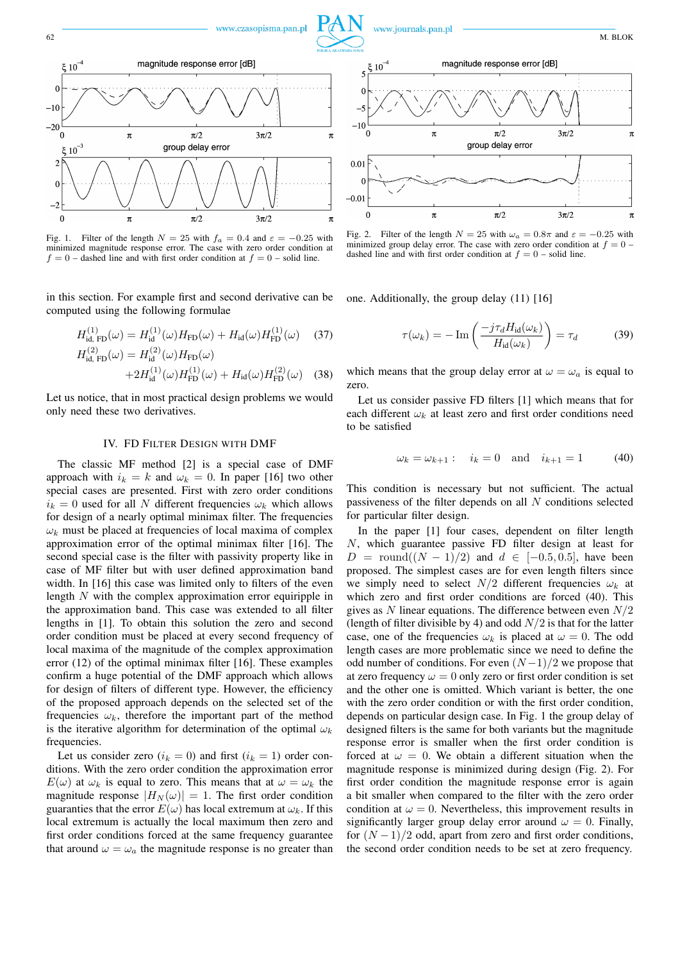

Fig. 1. Filter of the length  $N = 25$  with  $f_a = 0.4$  and  $\varepsilon = -0.25$  with minimized magnitude response error. The case with zero order condition at  $f = 0$  – dashed line and with first order condition at  $f = 0$  – solid line.

in this section. For example first and second derivative can be computed using the following formulae

$$
H_{\rm id, FD}^{(1)}(\omega) = H_{\rm id}^{(1)}(\omega) H_{\rm FD}(\omega) + H_{\rm id}(\omega) H_{\rm FD}^{(1)}(\omega) \quad (37)
$$

$$
H_{\rm id, FD}^{(2)}(\omega) = H_{\rm id}^{(2)}(\omega) H_{\rm FD}(\omega)
$$
  
+2H\_{\rm id}^{(1)}(\omega) H\_{\rm FD}^{(1)}(\omega) + H\_{\rm id}(\omega) H\_{\rm FD}^{(2)}(\omega) (38)

Let us notice, that in most practical design problems we would only need these two derivatives.

# IV. FD FILTER DESIGN WITH DMF

The classic MF method [2] is a special case of DMF approach with  $i_k = k$  and  $\omega_k = 0$ . In paper [16] two other special cases are presented. First with zero order conditions  $i_k = 0$  used for all N different frequencies  $\omega_k$  which allows for design of a nearly optimal minimax filter. The frequencies  $\omega_k$  must be placed at frequencies of local maxima of complex approximation error of the optimal minimax filter [16]. The second special case is the filter with passivity property like in case of MF filter but with user defined approximation band width. In [16] this case was limited only to filters of the even length N with the complex approximation error equiripple in the approximation band. This case was extended to all filter lengths in [1]. To obtain this solution the zero and second order condition must be placed at every second frequency of local maxima of the magnitude of the complex approximation error (12) of the optimal minimax filter [16]. These examples confirm a huge potential of the DMF approach which allows for design of filters of different type. However, the efficiency of the proposed approach depends on the selected set of the frequencies  $\omega_k$ , therefore the important part of the method is the iterative algorithm for determination of the optimal  $\omega_k$ frequencies.

Let us consider zero  $(i_k = 0)$  and first  $(i_k = 1)$  order conditions. With the zero order condition the approximation error  $E(\omega)$  at  $\omega_k$  is equal to zero. This means that at  $\omega = \omega_k$  the magnitude response  $|H_N(\omega)| = 1$ . The first order condition guaranties that the error  $E(\omega)$  has local extremum at  $\omega_k$ . If this local extremum is actually the local maximum then zero and first order conditions forced at the same frequency guarantee that around  $\omega = \omega_a$  the magnitude response is no greater than



Fig. 2. Filter of the length  $N = 25$  with  $\omega_a = 0.8\pi$  and  $\varepsilon = -0.25$  with minimized group delay error. The case with zero order condition at  $f = 0$ . dashed line and with first order condition at  $f = 0$  – solid line.

one. Additionally, the group delay (11) [16]

www.journals.pan.pl

$$
\tau(\omega_k) = -\operatorname{Im}\left(\frac{-j\tau_d H_{\text{id}}(\omega_k)}{H_{\text{id}}(\omega_k)}\right) = \tau_d \tag{39}
$$

which means that the group delay error at  $\omega = \omega_a$  is equal to zero.

Let us consider passive FD filters [1] which means that for each different  $\omega_k$  at least zero and first order conditions need to be satisfied

$$
\omega_k = \omega_{k+1}
$$
:  $i_k = 0$  and  $i_{k+1} = 1$  (40)

This condition is necessary but not sufficient. The actual passiveness of the filter depends on all  $N$  conditions selected for particular filter design.

In the paper [1] four cases, dependent on filter length N, which guarantee passive FD filter design at least for  $D = \text{round}((N - 1)/2)$  and  $d \in [-0.5, 0.5]$ , have been proposed. The simplest cases are for even length filters since we simply need to select  $N/2$  different frequencies  $\omega_k$  at which zero and first order conditions are forced (40). This gives as N linear equations. The difference between even  $N/2$ (length of filter divisible by 4) and odd  $N/2$  is that for the latter case, one of the frequencies  $\omega_k$  is placed at  $\omega = 0$ . The odd length cases are more problematic since we need to define the odd number of conditions. For even  $(N-1)/2$  we propose that at zero frequency  $\omega = 0$  only zero or first order condition is set and the other one is omitted. Which variant is better, the one with the zero order condition or with the first order condition, depends on particular design case. In Fig. 1 the group delay of designed filters is the same for both variants but the magnitude response error is smaller when the first order condition is forced at  $\omega = 0$ . We obtain a different situation when the magnitude response is minimized during design (Fig. 2). For first order condition the magnitude response error is again a bit smaller when compared to the filter with the zero order condition at  $\omega = 0$ . Nevertheless, this improvement results in significantly larger group delay error around  $\omega = 0$ . Finally, for  $(N-1)/2$  odd, apart from zero and first order conditions, the second order condition needs to be set at zero frequency.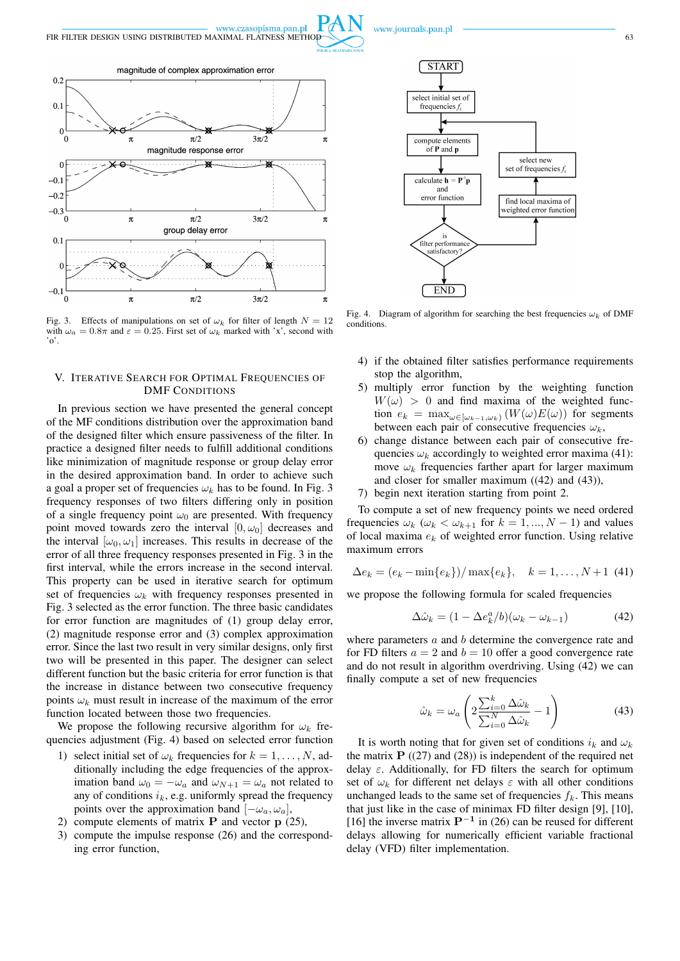www.czasopisma.pan.pl FIR FILTER DESIGN USING DISTRIBUTED MAXIMAL FLATNESS METHOP SETTING THE RELATION OF SALE OF SALE OF SALE OF SALE OF SALE OF SALE OF SALE OF SALE OF SALE OF SALE OF SALE OF SALE OF SALE OF SALE OF SALE OF SALE OF SALE OF SA



Fig. 3. Effects of manipulations on set of  $\omega_k$  for filter of length  $N = 12$  with  $\omega_a = 0.8\pi$  and  $\varepsilon = 0.25$ . First set of  $\omega_k$  marked with 'x', second with =  $0.8\pi$  and  $\varepsilon$  = 0.25. First set of  $\omega_k$  marked with 'x', second with  $^{\circ}$  o'.

# V. ITERATIVE SEARCH FOR OPTIMAL FREQUENCIES OF DMF CONDITIONS

In previous section we have presented the general concept of the MF conditions distribution over the approximation band of the designed filter which ensure passiveness of the filter. In practice a designed filter needs to fulfill additional conditions like minimization of magnitude response or group delay error in the desired approximation band. In order to achieve such a goal a proper set of frequencies  $\omega_k$  has to be found. In Fig. 3 frequency responses of two filters differing only in position of a single frequency point  $\omega_0$  are presented. With frequency point moved towards zero the interval  $[0, \omega_0]$  decreases and the interval  $[\omega_0, \omega_1]$  increases. This results in decrease of the error of all three frequency responses presented in Fig. 3 in the first interval, while the errors increase in the second interval. This property can be used in iterative search for optimum set of frequencies  $\omega_k$  with frequency responses presented in Fig. 3 selected as the error function. The three basic candidates for error function are magnitudes of (1) group delay error, (2) magnitude response error and (3) complex approximation error. Since the last two result in very similar designs, only first two will be presented in this paper. The designer can select different function but the basic criteria for error function is that the increase in distance between two consecutive frequency points  $\omega_k$  must result in increase of the maximum of the error function located between those two frequencies.

We propose the following recursive algorithm for  $\omega_k$  frequencies adjustment (Fig. 4) based on selected error function

- 1) select initial set of  $\omega_k$  frequencies for  $k = 1, \ldots, N$ , additionally including the edge frequencies of the approximation band  $\omega_0 = -\omega_a$  and  $\omega_{N+1} = \omega_a$  not related to any of conditions  $i_k$ , e.g. uniformly spread the frequency points over the approximation band  $[-\omega_a, \omega_a]$ ,
- 2) compute elements of matrix  $P$  and vector  $p(25)$ ,
- 3) compute the impulse response (26) and the corresponding error function,



www.journals.pan.pl

Fig. 4. Diagram of algorithm for searching the best frequencies  $\omega_k$  of DMF conditions.

- 4) if the obtained filter satisfies performance requirements stop the algorithm,
- 5) multiply error function by the weighting function  $W(\omega) > 0$  and find maxima of the weighted function  $e_k = \max_{\omega \in [\omega_{k-1}, \omega_k)} (W(\omega)E(\omega))$  for segments between each pair of consecutive frequencies  $\omega_k$ ,
- 6) change distance between each pair of consecutive frequencies  $\omega_k$  accordingly to weighted error maxima (41): move  $\omega_k$  frequencies farther apart for larger maximum and closer for smaller maximum ((42) and (43)),
- 7) begin next iteration starting from point 2.

To compute a set of new frequency points we need ordered frequencies  $\omega_k$  ( $\omega_k < \omega_{k+1}$  for  $k = 1, ..., N - 1$ ) and values of local maxima  $e_k$  of weighted error function. Using relative maximum errors

$$
\Delta e_k = (e_k - \min\{e_k\})/\max\{e_k\}, \quad k = 1, ..., N + 1 \tag{41}
$$

we propose the following formula for scaled frequencies

$$
\Delta \hat{\omega}_k = (1 - \Delta e_k^a / b)(\omega_k - \omega_{k-1})
$$
\n(42)

where parameters  $a$  and  $b$  determine the convergence rate and for FD filters  $a = 2$  and  $b = 10$  offer a good convergence rate and do not result in algorithm overdriving. Using (42) we can finally compute a set of new frequencies

$$
\hat{\omega}_k = \omega_a \left( 2 \frac{\sum_{i=0}^k \Delta \hat{\omega}_k}{\sum_{i=0}^N \Delta \hat{\omega}_k} - 1 \right) \tag{43}
$$

It is worth noting that for given set of conditions  $i_k$  and  $\omega_k$ the matrix  $P((27)$  and  $(28)$ ) is independent of the required net delay  $\varepsilon$ . Additionally, for FD filters the search for optimum set of  $\omega_k$  for different net delays  $\varepsilon$  with all other conditions unchanged leads to the same set of frequencies  $f_k$ . This means that just like in the case of minimax FD filter design [9], [10], [16] the inverse matrix  $\mathbf{P}^{-1}$  in (26) can be reused for different delays allowing for numerically efficient variable fractional delay (VFD) filter implementation.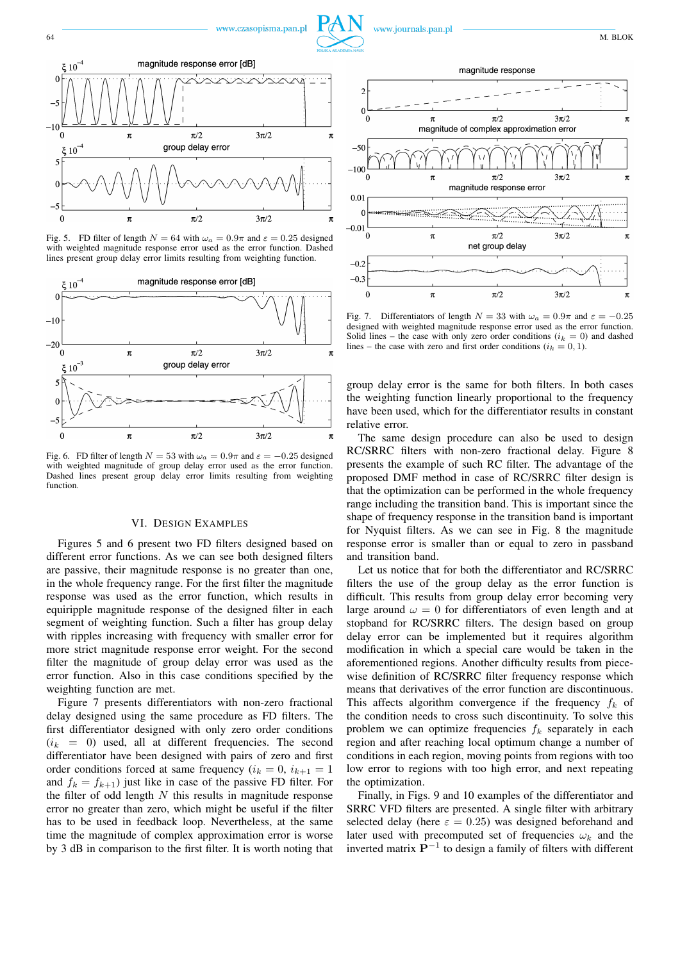



Fig. 5. FD filter of length  $N = 64$  with  $\omega_a = 0.9\pi$  and  $\varepsilon = 0.25$  designed with weighted magnitude response error used as the error function. Dashed lines present group delay error limits resulting from weighting function.



Fig. 6. FD filter of length  $N = 53$  with  $\omega_a = 0.9\pi$  and  $\varepsilon = -0.25$  designed with weighted magnitude of group delay error used as the error function. Dashed lines present group delay error limits resulting from weighting function.

## VI. DESIGN EXAMPLES

Figures 5 and 6 present two FD filters designed based on different error functions. As we can see both designed filters are passive, their magnitude response is no greater than one, in the whole frequency range. For the first filter the magnitude response was used as the error function, which results in equiripple magnitude response of the designed filter in each segment of weighting function. Such a filter has group delay with ripples increasing with frequency with smaller error for more strict magnitude response error weight. For the second filter the magnitude of group delay error was used as the error function. Also in this case conditions specified by the weighting function are met.

Figure 7 presents differentiators with non-zero fractional delay designed using the same procedure as FD filters. The first differentiator designed with only zero order conditions  $(i_k = 0)$  used, all at different frequencies. The second differentiator have been designed with pairs of zero and first order conditions forced at same frequency ( $i_k = 0$ ,  $i_{k+1} = 1$ and  $f_k = f_{k+1}$ ) just like in case of the passive FD filter. For the filter of odd length  $N$  this results in magnitude response error no greater than zero, which might be useful if the filter has to be used in feedback loop. Nevertheless, at the same time the magnitude of complex approximation error is worse by 3 dB in comparison to the first filter. It is worth noting that



Fig. 7. Differentiators of length  $N = 33$  with  $\omega_a = 0.9\pi$  and  $\varepsilon = -0.25$ designed with weighted magnitude response error used as the error function. Solid lines – the case with only zero order conditions  $(i_k = 0)$  and dashed lines – the case with zero and first order conditions  $(i_k = 0, 1)$ .

group delay error is the same for both filters. In both cases the weighting function linearly proportional to the frequency have been used, which for the differentiator results in constant relative error.

The same design procedure can also be used to design RC/SRRC filters with non-zero fractional delay. Figure 8 presents the example of such RC filter. The advantage of the proposed DMF method in case of RC/SRRC filter design is that the optimization can be performed in the whole frequency range including the transition band. This is important since the shape of frequency response in the transition band is important for Nyquist filters. As we can see in Fig. 8 the magnitude response error is smaller than or equal to zero in passband and transition band.

Let us notice that for both the differentiator and RC/SRRC filters the use of the group delay as the error function is difficult. This results from group delay error becoming very large around  $\omega = 0$  for differentiators of even length and at stopband for RC/SRRC filters. The design based on group delay error can be implemented but it requires algorithm modification in which a special care would be taken in the aforementioned regions. Another difficulty results from piecewise definition of RC/SRRC filter frequency response which means that derivatives of the error function are discontinuous. This affects algorithm convergence if the frequency  $f_k$  of the condition needs to cross such discontinuity. To solve this problem we can optimize frequencies  $f_k$  separately in each region and after reaching local optimum change a number of conditions in each region, moving points from regions with too low error to regions with too high error, and next repeating the optimization.

Finally, in Figs. 9 and 10 examples of the differentiator and SRRC VFD filters are presented. A single filter with arbitrary selected delay (here  $\varepsilon = 0.25$ ) was designed beforehand and later used with precomputed set of frequencies  $\omega_k$  and the inverted matrix  $\mathbf{P}^{-1}$  to design a family of filters with different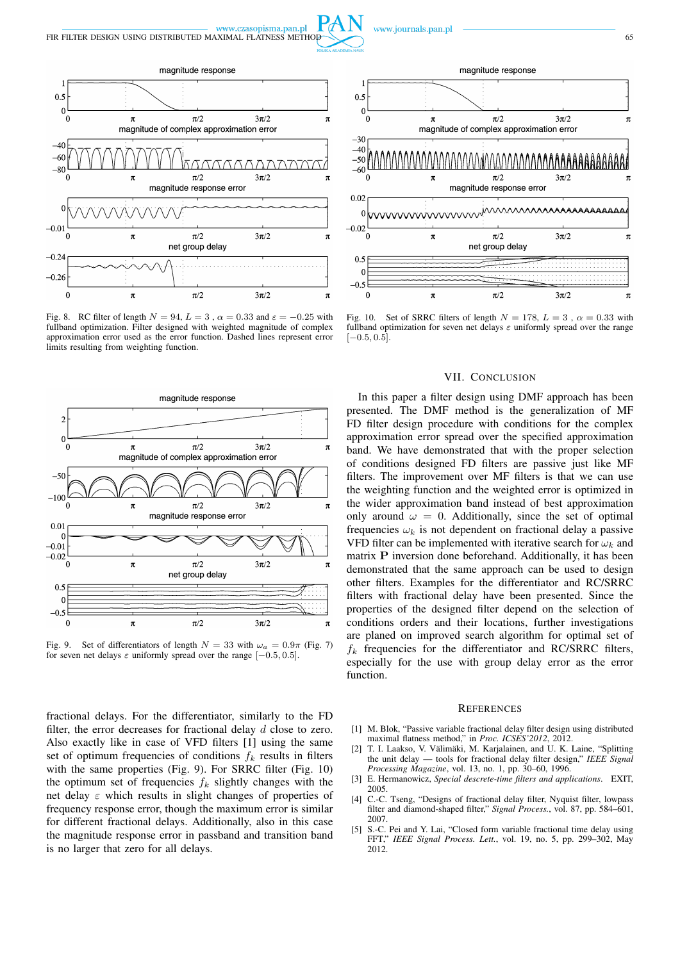www.czasopisma.pan.pl FIR FILTER DESIGN USING DISTRIBUTED MAXIMAL FLATNESS METHOD



Fig. 8. RC filter of length  $N = 94$ ,  $L = 3$ ,  $\alpha = 0.33$  and  $\varepsilon = -0.25$  with fullband optimization. Filter designed with weighted magnitude of complex approximation error used as the error function. Dashed lines represent error limits resulting from weighting function.



Fig. 9. Set of differentiators of length  $N = 33$  with  $\omega_a = 0.9\pi$  (Fig. 7) for seven net delays  $\varepsilon$  uniformly spread over the range  $[-0.5, 0.5]$ .

fractional delays. For the differentiator, similarly to the FD filter, the error decreases for fractional delay  $d$  close to zero. Also exactly like in case of VFD filters [1] using the same set of optimum frequencies of conditions  $f_k$  results in filters with the same properties (Fig. 9). For SRRC filter (Fig. 10) the optimum set of frequencies  $f_k$  slightly changes with the net delay  $\varepsilon$  which results in slight changes of properties of frequency response error, though the maximum error is similar for different fractional delays. Additionally, also in this case the magnitude response error in passband and transition band is no larger that zero for all delays.



www.journals.pan.pl

Fig. 10. Set of SRRC filters of length  $N = 178$ ,  $L = 3$ ,  $\alpha = 0.33$  with fullband optimization for seven net delays  $\varepsilon$  uniformly spread over the range  $[-0.5, 0.5]$ 

### VII. CONCLUSION

In this paper a filter design using DMF approach has been presented. The DMF method is the generalization of MF FD filter design procedure with conditions for the complex approximation error spread over the specified approximation band. We have demonstrated that with the proper selection of conditions designed FD filters are passive just like MF filters. The improvement over MF filters is that we can use the weighting function and the weighted error is optimized in the wider approximation band instead of best approximation only around  $\omega = 0$ . Additionally, since the set of optimal frequencies  $\omega_k$  is not dependent on fractional delay a passive VFD filter can be implemented with iterative search for  $\omega_k$  and matrix P inversion done beforehand. Additionally, it has been demonstrated that the same approach can be used to design other filters. Examples for the differentiator and RC/SRRC filters with fractional delay have been presented. Since the properties of the designed filter depend on the selection of conditions orders and their locations, further investigations are planed on improved search algorithm for optimal set of  $f_k$  frequencies for the differentiator and RC/SRRC filters, especially for the use with group delay error as the error function.

### **REFERENCES**

- [1] M. Blok, "Passive variable fractional delay filter design using distributed maximal flatness method," in *Proc. ICSES'2012*, 2012.
- [2] T. I. Laakso, V. Välimäki, M. Karjalainen, and U. K. Laine, "Splitting the unit delay — tools for fractional delay filter design," *IEEE Signal Processing Magazine*, vol. 13, no. 1, pp. 30–60, 1996.
- [3] E. Hermanowicz, *Special descrete-time filters and applications*. EXIT, 2005.
- [4] C.-C. Tseng, "Designs of fractional delay filter, Nyquist filter, lowpass filter and diamond-shaped filter," *Signal Process.*, vol. 87, pp. 584–601, 2007.
- [5] S.-C. Pei and Y. Lai, "Closed form variable fractional time delay using FFT," *IEEE Signal Process. Lett.*, vol. 19, no. 5, pp. 299–302, May 2012.